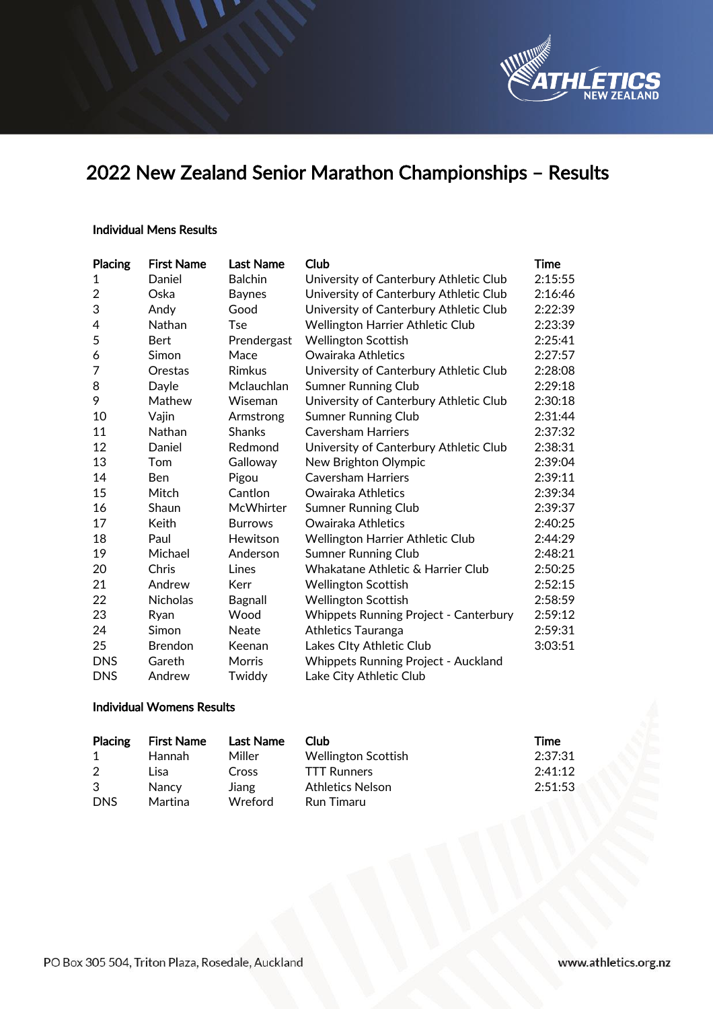

# 2022 New Zealand Senior Marathon Championships – Results

## Individual Mens Results

| Placing        | <b>First Name</b> | <b>Last Name</b> | Club                                         | Time    |
|----------------|-------------------|------------------|----------------------------------------------|---------|
| 1              | Daniel            | <b>Balchin</b>   | University of Canterbury Athletic Club       | 2:15:55 |
| $\overline{2}$ | Oska              | <b>Baynes</b>    | University of Canterbury Athletic Club       | 2:16:46 |
| 3              | Andy              | Good             | University of Canterbury Athletic Club       | 2:22:39 |
| 4              | Nathan            | <b>Tse</b>       | Wellington Harrier Athletic Club             | 2:23:39 |
| 5              | <b>Bert</b>       | Prendergast      | <b>Wellington Scottish</b>                   | 2:25:41 |
| 6              | Simon             | Mace             | Owairaka Athletics                           | 2:27:57 |
| 7              | Orestas           | <b>Rimkus</b>    | University of Canterbury Athletic Club       | 2:28:08 |
| 8              | Dayle             | Mclauchlan       | Sumner Running Club                          | 2:29:18 |
| 9              | Mathew            | Wiseman          | University of Canterbury Athletic Club       | 2:30:18 |
| 10             | Vajin             | Armstrong        | <b>Sumner Running Club</b>                   | 2:31:44 |
| 11             | Nathan            | <b>Shanks</b>    | <b>Caversham Harriers</b>                    | 2:37:32 |
| 12             | Daniel            | Redmond          | University of Canterbury Athletic Club       | 2:38:31 |
| 13             | Tom               | Galloway         | New Brighton Olympic                         | 2:39:04 |
| 14             | <b>Ben</b>        | Pigou            | <b>Caversham Harriers</b>                    | 2:39:11 |
| 15             | Mitch             | Cantlon          | Owairaka Athletics                           | 2:39:34 |
| 16             | Shaun             | McWhirter        | <b>Sumner Running Club</b>                   | 2:39:37 |
| 17             | Keith             | <b>Burrows</b>   | Owairaka Athletics                           | 2:40:25 |
| 18             | Paul              | Hewitson         | Wellington Harrier Athletic Club             | 2:44:29 |
| 19             | Michael           | Anderson         | <b>Sumner Running Club</b>                   | 2:48:21 |
| 20             | Chris             | Lines            | Whakatane Athletic & Harrier Club            | 2:50:25 |
| 21             | Andrew            | Kerr             | <b>Wellington Scottish</b>                   | 2:52:15 |
| 22             | <b>Nicholas</b>   | Bagnall          | <b>Wellington Scottish</b>                   | 2:58:59 |
| 23             | Ryan              | Wood             | <b>Whippets Running Project - Canterbury</b> | 2:59:12 |
| 24             | Simon             | Neate            | <b>Athletics Tauranga</b>                    | 2:59:31 |
| 25             | <b>Brendon</b>    | Keenan           | Lakes Clty Athletic Club                     | 3:03:51 |
| <b>DNS</b>     | Gareth            | Morris           | <b>Whippets Running Project - Auckland</b>   |         |
| <b>DNS</b>     | Andrew            | Twiddy           | Lake City Athletic Club                      |         |

# Individual Womens Results

| Placing    | <b>First Name</b> | Last Name | Club                       | Time    |
|------------|-------------------|-----------|----------------------------|---------|
| -1         | Hannah            | Miller    | <b>Wellington Scottish</b> | 2:37:31 |
| 2          | Lisa              | Cross     | <b>TTT Runners</b>         | 2:41:12 |
| 3          | <b>Nancy</b>      | Jiang     | Athletics Nelson           | 2:51:53 |
| <b>DNS</b> | Martina           | Wreford   | Run Timaru                 |         |